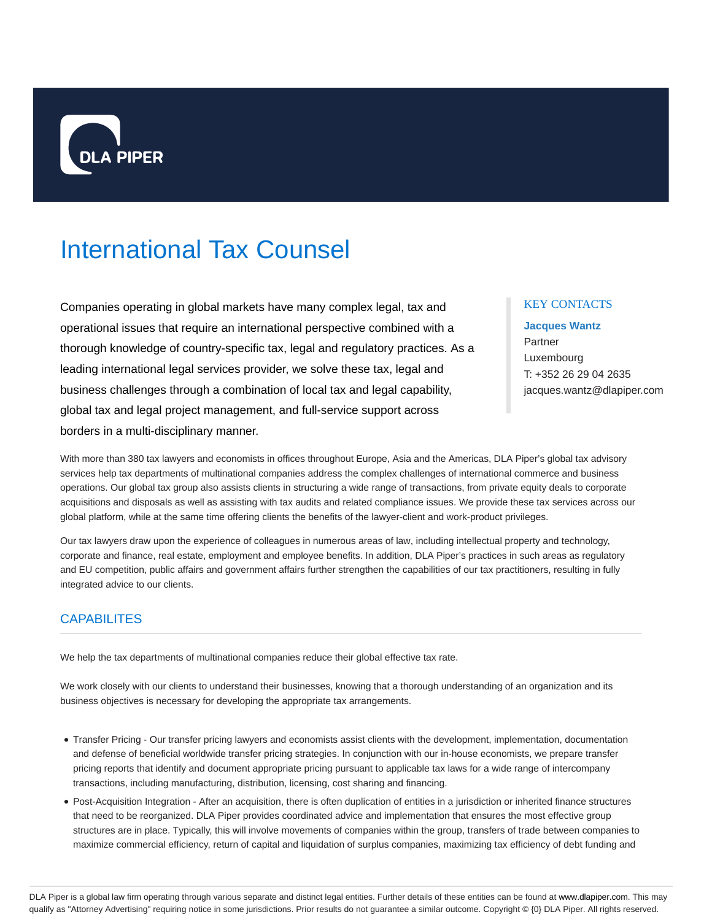

# International Tax Counsel

Companies operating in global markets have many complex legal, tax and operational issues that require an international perspective combined with a thorough knowledge of country-specific tax, legal and regulatory practices. As a leading international legal services provider, we solve these tax, legal and business challenges through a combination of local tax and legal capability, global tax and legal project management, and full-service support across borders in a multi-disciplinary manner.

## KEY CONTACTS

**Jacques Wantz** Partner Luxembourg T: +352 26 29 04 2635 jacques.wantz@dlapiper.com

With more than 380 tax lawyers and economists in offices throughout Europe, Asia and the Americas, DLA Piper's global tax advisory services help tax departments of multinational companies address the complex challenges of international commerce and business operations. Our global tax group also assists clients in structuring a wide range of transactions, from private equity deals to corporate acquisitions and disposals as well as assisting with tax audits and related compliance issues. We provide these tax services across our global platform, while at the same time offering clients the benefits of the lawyer-client and work-product privileges.

Our tax lawyers draw upon the experience of colleagues in numerous areas of law, including intellectual property and technology, corporate and finance, real estate, employment and employee benefits. In addition, DLA Piper's practices in such areas as regulatory and EU competition, public affairs and government affairs further strengthen the capabilities of our tax practitioners, resulting in fully integrated advice to our clients.

# **CAPABILITES**

We help the tax departments of multinational companies reduce their global effective tax rate.

We work closely with our clients to understand their businesses, knowing that a thorough understanding of an organization and its business objectives is necessary for developing the appropriate tax arrangements.

- Transfer Pricing Our transfer pricing lawyers and economists assist clients with the development, implementation, documentation and defense of beneficial worldwide transfer pricing strategies. In conjunction with our in-house economists, we prepare transfer pricing reports that identify and document appropriate pricing pursuant to applicable tax laws for a wide range of intercompany transactions, including manufacturing, distribution, licensing, cost sharing and financing.
- Post-Acquisition Integration After an acquisition, there is often duplication of entities in a jurisdiction or inherited finance structures that need to be reorganized. DLA Piper provides coordinated advice and implementation that ensures the most effective group structures are in place. Typically, this will involve movements of companies within the group, transfers of trade between companies to maximize commercial efficiency, return of capital and liquidation of surplus companies, maximizing tax efficiency of debt funding and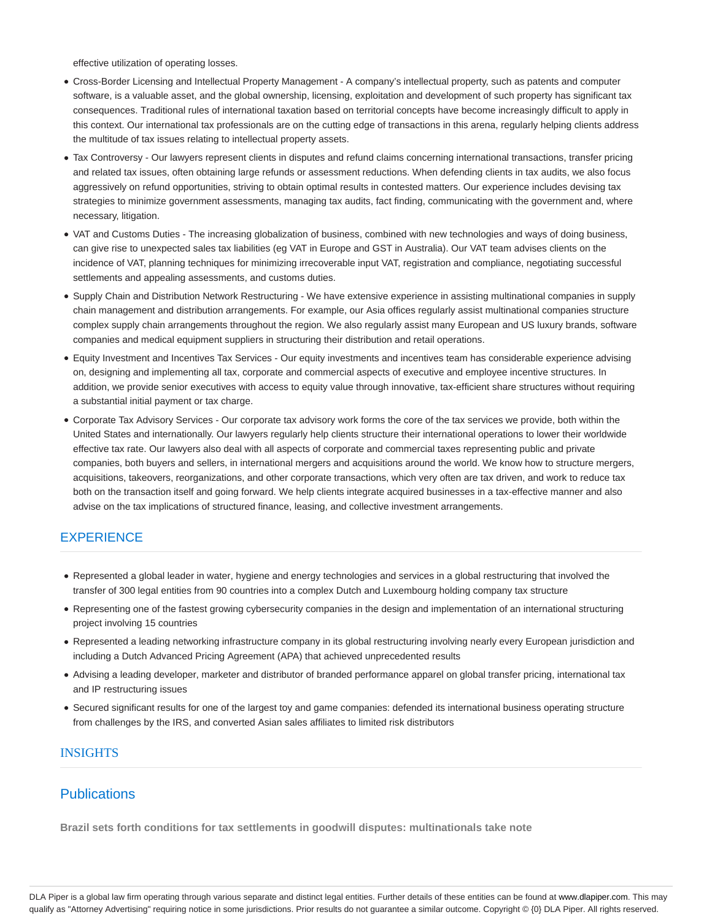effective utilization of operating losses.

- Cross-Border Licensing and Intellectual Property Management A company's intellectual property, such as patents and computer software, is a valuable asset, and the global ownership, licensing, exploitation and development of such property has significant tax consequences. Traditional rules of international taxation based on territorial concepts have become increasingly difficult to apply in this context. Our international tax professionals are on the cutting edge of transactions in this arena, regularly helping clients address the multitude of tax issues relating to intellectual property assets.
- Tax Controversy Our lawyers represent clients in disputes and refund claims concerning international transactions, transfer pricing and related tax issues, often obtaining large refunds or assessment reductions. When defending clients in tax audits, we also focus aggressively on refund opportunities, striving to obtain optimal results in contested matters. Our experience includes devising tax strategies to minimize government assessments, managing tax audits, fact finding, communicating with the government and, where necessary, litigation.
- VAT and Customs Duties The increasing globalization of business, combined with new technologies and ways of doing business, can give rise to unexpected sales tax liabilities (eg VAT in Europe and GST in Australia). Our VAT team advises clients on the incidence of VAT, planning techniques for minimizing irrecoverable input VAT, registration and compliance, negotiating successful settlements and appealing assessments, and customs duties.
- Supply Chain and Distribution Network Restructuring We have extensive experience in assisting multinational companies in supply chain management and distribution arrangements. For example, our Asia offices regularly assist multinational companies structure complex supply chain arrangements throughout the region. We also regularly assist many European and US luxury brands, software companies and medical equipment suppliers in structuring their distribution and retail operations.
- Equity Investment and Incentives Tax Services Our equity investments and incentives team has considerable experience advising on, designing and implementing all tax, corporate and commercial aspects of executive and employee incentive structures. In addition, we provide senior executives with access to equity value through innovative, tax-efficient share structures without requiring a substantial initial payment or tax charge.
- Corporate Tax Advisory Services Our corporate tax advisory work forms the core of the tax services we provide, both within the United States and internationally. Our lawyers regularly help clients structure their international operations to lower their worldwide effective tax rate. Our lawyers also deal with all aspects of corporate and commercial taxes representing public and private companies, both buyers and sellers, in international mergers and acquisitions around the world. We know how to structure mergers, acquisitions, takeovers, reorganizations, and other corporate transactions, which very often are tax driven, and work to reduce tax both on the transaction itself and going forward. We help clients integrate acquired businesses in a tax-effective manner and also advise on the tax implications of structured finance, leasing, and collective investment arrangements.

# **EXPERIENCE**

- Represented a global leader in water, hygiene and energy technologies and services in a global restructuring that involved the transfer of 300 legal entities from 90 countries into a complex Dutch and Luxembourg holding company tax structure
- Representing one of the fastest growing cybersecurity companies in the design and implementation of an international structuring project involving 15 countries
- Represented a leading networking infrastructure company in its global restructuring involving nearly every European jurisdiction and including a Dutch Advanced Pricing Agreement (APA) that achieved unprecedented results
- Advising a leading developer, marketer and distributor of branded performance apparel on global transfer pricing, international tax and IP restructuring issues
- Secured significant results for one of the largest toy and game companies: defended its international business operating structure from challenges by the IRS, and converted Asian sales affiliates to limited risk distributors

## INSIGHTS

# **Publications**

**Brazil sets forth conditions for tax settlements in goodwill disputes: multinationals take note**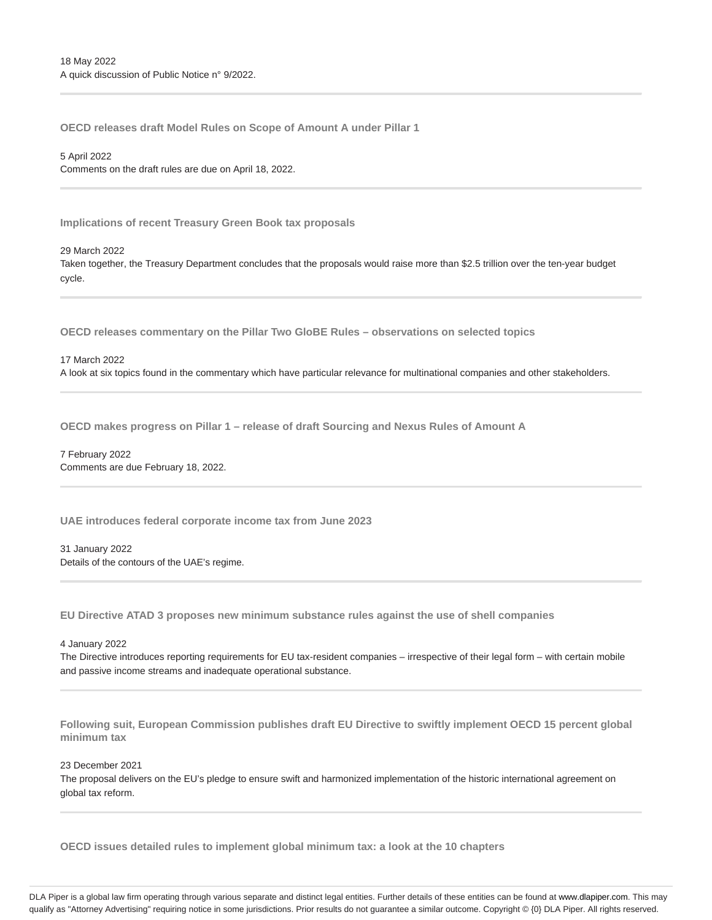**OECD releases draft Model Rules on Scope of Amount A under Pillar 1**

5 April 2022 Comments on the draft rules are due on April 18, 2022.

**Implications of recent Treasury Green Book tax proposals**

29 March 2022 Taken together, the Treasury Department concludes that the proposals would raise more than \$2.5 trillion over the ten-year budget cycle.

**OECD releases commentary on the Pillar Two GloBE Rules – observations on selected topics**

17 March 2022 A look at six topics found in the commentary which have particular relevance for multinational companies and other stakeholders.

**OECD makes progress on Pillar 1 – release of draft Sourcing and Nexus Rules of Amount A**

7 February 2022 Comments are due February 18, 2022.

**UAE introduces federal corporate income tax from June 2023**

31 January 2022 Details of the contours of the UAE's regime.

**EU Directive ATAD 3 proposes new minimum substance rules against the use of shell companies**

4 January 2022

The Directive introduces reporting requirements for EU tax-resident companies – irrespective of their legal form – with certain mobile and passive income streams and inadequate operational substance.

**Following suit, European Commission publishes draft EU Directive to swiftly implement OECD 15 percent global minimum tax**

23 December 2021

The proposal delivers on the EU's pledge to ensure swift and harmonized implementation of the historic international agreement on global tax reform.

**OECD issues detailed rules to implement global minimum tax: a look at the 10 chapters**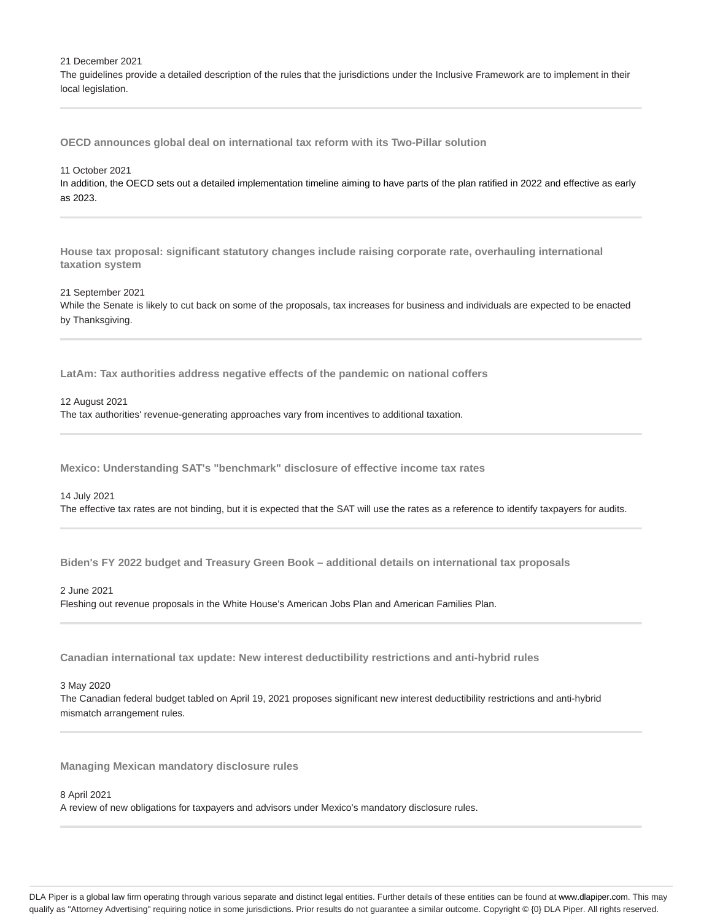21 December 2021

The guidelines provide a detailed description of the rules that the jurisdictions under the Inclusive Framework are to implement in their local legislation.

**OECD announces global deal on international tax reform with its Two-Pillar solution**

#### 11 October 2021

In addition, the OECD sets out a detailed implementation timeline aiming to have parts of the plan ratified in 2022 and effective as early as 2023.

**House tax proposal: significant statutory changes include raising corporate rate, overhauling international taxation system**

#### 21 September 2021

While the Senate is likely to cut back on some of the proposals, tax increases for business and individuals are expected to be enacted by Thanksgiving.

**LatAm: Tax authorities address negative effects of the pandemic on national coffers**

#### 12 August 2021

The tax authorities' revenue-generating approaches vary from incentives to additional taxation.

**Mexico: Understanding SAT's "benchmark" disclosure of effective income tax rates**

#### 14 July 2021

The effective tax rates are not binding, but it is expected that the SAT will use the rates as a reference to identify taxpayers for audits.

**Biden's FY 2022 budget and Treasury Green Book – additional details on international tax proposals**

#### 2 June 2021

Fleshing out revenue proposals in the White House's American Jobs Plan and American Families Plan.

**Canadian international tax update: New interest deductibility restrictions and anti-hybrid rules**

#### 3 May 2020

The Canadian federal budget tabled on April 19, 2021 proposes significant new interest deductibility restrictions and anti-hybrid mismatch arrangement rules.

**Managing Mexican mandatory disclosure rules**

#### 8 April 2021

A review of new obligations for taxpayers and advisors under Mexico's mandatory disclosure rules.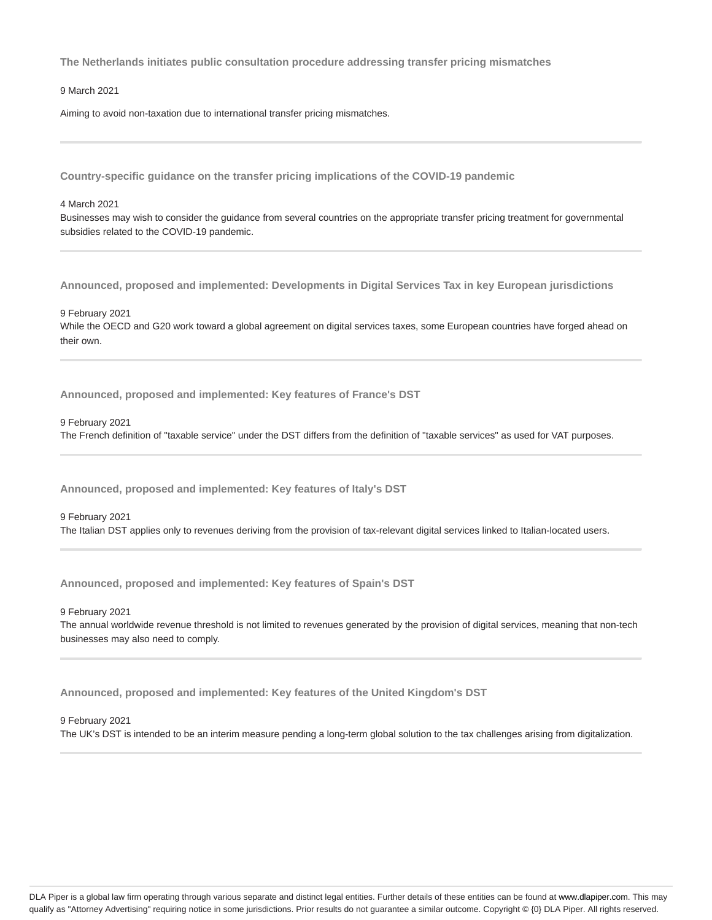**The Netherlands initiates public consultation procedure addressing transfer pricing mismatches**

9 March 2021

Aiming to avoid non-taxation due to international transfer pricing mismatches.

**Country-specific guidance on the transfer pricing implications of the COVID-19 pandemic**

4 March 2021

Businesses may wish to consider the guidance from several countries on the appropriate transfer pricing treatment for governmental subsidies related to the COVID-19 pandemic.

**Announced, proposed and implemented: Developments in Digital Services Tax in key European jurisdictions**

9 February 2021 While the OECD and G20 work toward a global agreement on digital services taxes, some European countries have forged ahead on their own.

**Announced, proposed and implemented: Key features of France's DST**

9 February 2021 The French definition of "taxable service" under the DST differs from the definition of "taxable services" as used for VAT purposes.

**Announced, proposed and implemented: Key features of Italy's DST**

9 February 2021 The Italian DST applies only to revenues deriving from the provision of tax-relevant digital services linked to Italian-located users.

**Announced, proposed and implemented: Key features of Spain's DST**

9 February 2021

The annual worldwide revenue threshold is not limited to revenues generated by the provision of digital services, meaning that non-tech businesses may also need to comply.

**Announced, proposed and implemented: Key features of the United Kingdom's DST**

9 February 2021

The UK's DST is intended to be an interim measure pending a long-term global solution to the tax challenges arising from digitalization.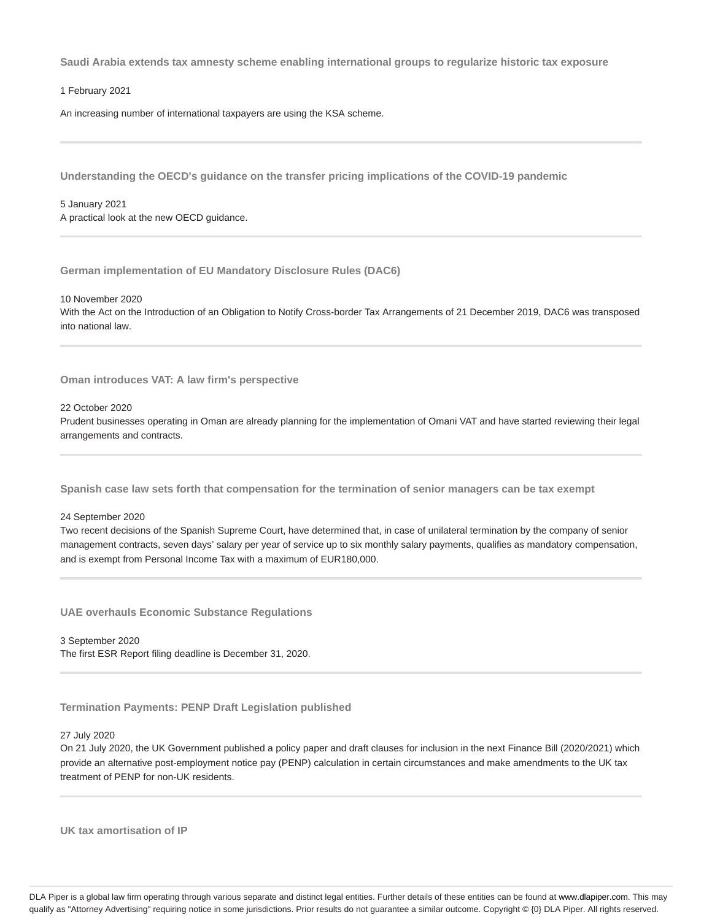**Saudi Arabia extends tax amnesty scheme enabling international groups to regularize historic tax exposure**

1 February 2021

An increasing number of international taxpayers are using the KSA scheme.

**Understanding the OECD's guidance on the transfer pricing implications of the COVID-19 pandemic**

5 January 2021 A practical look at the new OECD guidance.

**German implementation of EU Mandatory Disclosure Rules (DAC6)**

10 November 2020 With the Act on the Introduction of an Obligation to Notify Cross-border Tax Arrangements of 21 December 2019, DAC6 was transposed into national law.

**Oman introduces VAT: A law firm's perspective**

22 October 2020

Prudent businesses operating in Oman are already planning for the implementation of Omani VAT and have started reviewing their legal arrangements and contracts.

**Spanish case law sets forth that compensation for the termination of senior managers can be tax exempt**

24 September 2020

Two recent decisions of the Spanish Supreme Court, have determined that, in case of unilateral termination by the company of senior management contracts, seven days' salary per year of service up to six monthly salary payments, qualifies as mandatory compensation, and is exempt from Personal Income Tax with a maximum of EUR180,000.

**UAE overhauls Economic Substance Regulations**

3 September 2020 The first ESR Report filing deadline is December 31, 2020.

**Termination Payments: PENP Draft Legislation published**

#### 27 July 2020

On 21 July 2020, the UK Government published a policy paper and draft clauses for inclusion in the next Finance Bill (2020/2021) which provide an alternative post-employment notice pay (PENP) calculation in certain circumstances and make amendments to the UK tax treatment of PENP for non-UK residents.

**UK tax amortisation of IP**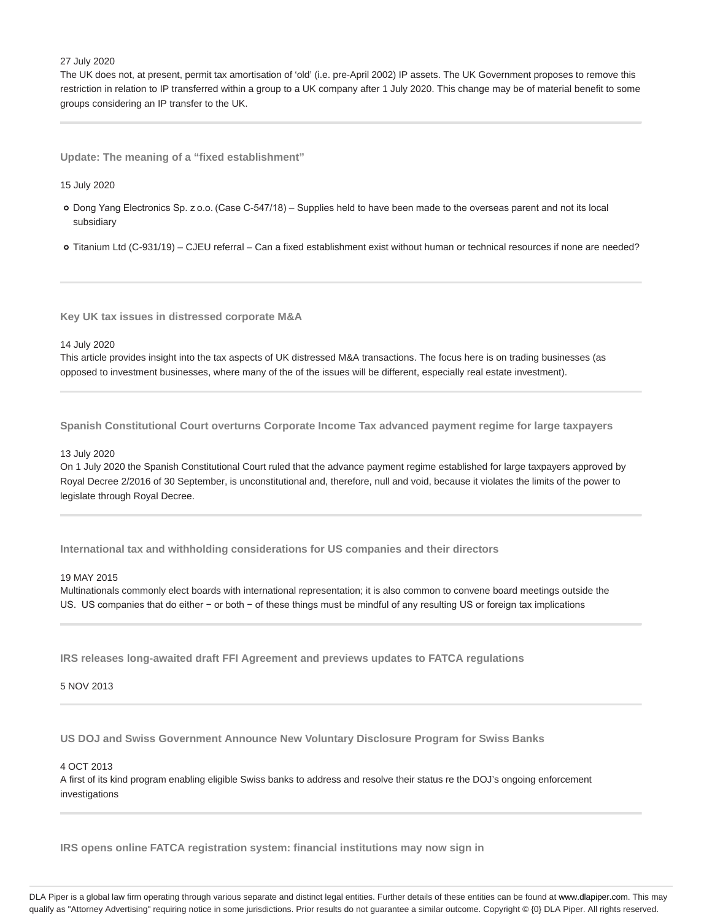#### 27 July 2020

The UK does not, at present, permit tax amortisation of 'old' (i.e. pre-April 2002) IP assets. The UK Government proposes to remove this restriction in relation to IP transferred within a group to a UK company after 1 July 2020. This change may be of material benefit to some groups considering an IP transfer to the UK.

**Update: The meaning of a "fixed establishment"**

15 July 2020

- Dong Yang Electronics Sp. z o.o. (Case C-547/18) Supplies held to have been made to the overseas parent and not its local subsidiary
- Titanium Ltd (C-931/19) CJEU referral Can a fixed establishment exist without human or technical resources if none are needed?

**Key UK tax issues in distressed corporate M&A**

#### 14 July 2020

This article provides insight into the tax aspects of UK distressed M&A transactions. The focus here is on trading businesses (as opposed to investment businesses, where many of the of the issues will be different, especially real estate investment).

**Spanish Constitutional Court overturns Corporate Income Tax advanced payment regime for large taxpayers**

## 13 July 2020

On 1 July 2020 the Spanish Constitutional Court ruled that the advance payment regime established for large taxpayers approved by Royal Decree 2/2016 of 30 September, is unconstitutional and, therefore, null and void, because it violates the limits of the power to legislate through Royal Decree.

**International tax and withholding considerations for US companies and their directors**

## 19 MAY 2015

Multinationals commonly elect boards with international representation; it is also common to convene board meetings outside the US. US companies that do either − or both − of these things must be mindful of any resulting US or foreign tax implications

**IRS releases long-awaited draft FFI Agreement and previews updates to FATCA regulations**

5 NOV 2013

**US DOJ and Swiss Government Announce New Voluntary Disclosure Program for Swiss Banks**

4 OCT 2013

A first of its kind program enabling eligible Swiss banks to address and resolve their status re the DOJ's ongoing enforcement investigations

**IRS opens online FATCA registration system: financial institutions may now sign in**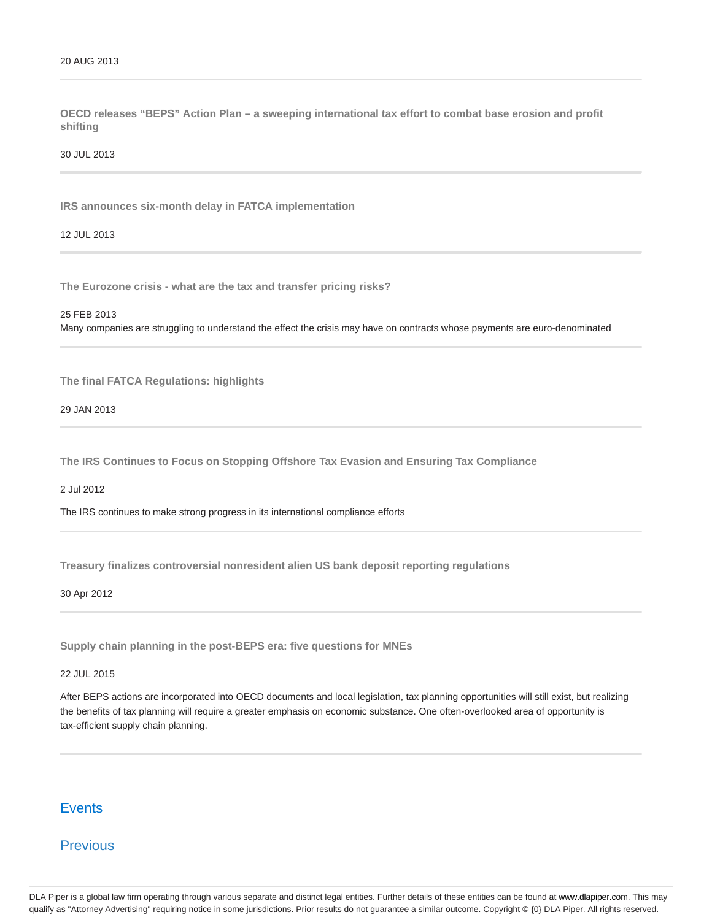**OECD releases "BEPS" Action Plan – a sweeping international tax effort to combat base erosion and profit shifting**

30 JUL 2013

**IRS announces six-month delay in FATCA implementation**

12 JUL 2013

**The Eurozone crisis - what are the tax and transfer pricing risks?**

#### 25 FEB 2013

Many companies are struggling to understand the effect the crisis may have on contracts whose payments are euro-denominated

**The final FATCA Regulations: highlights**

29 JAN 2013

**The IRS Continues to Focus on Stopping Offshore Tax Evasion and Ensuring Tax Compliance**

2 Jul 2012

The IRS continues to make strong progress in its international compliance efforts

**Treasury finalizes controversial nonresident alien US bank deposit reporting regulations**

#### 30 Apr 2012

**Supply chain planning in the post-BEPS era: five questions for MNEs**

22 JUL 2015

After BEPS actions are incorporated into OECD documents and local legislation, tax planning opportunities will still exist, but realizing the benefits of tax planning will require a greater emphasis on economic substance. One often-overlooked area of opportunity is tax-efficient supply chain planning.

# Events

# Previous